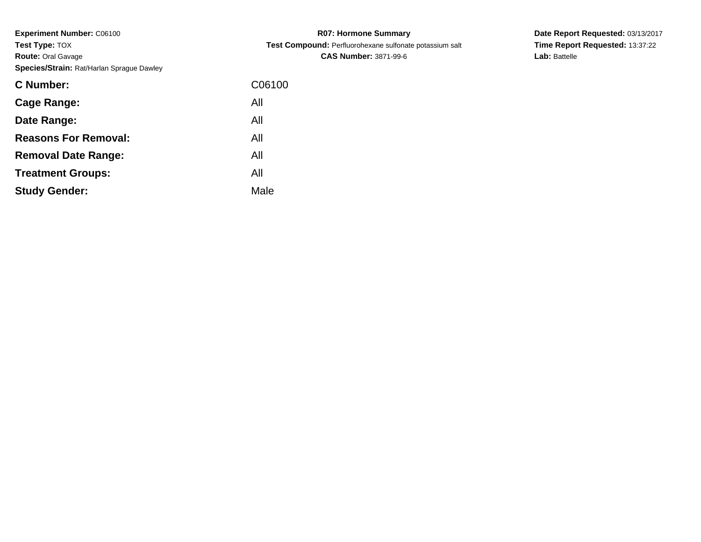| C06100 |
|--------|
| All    |
| All    |
| All    |
| All    |
| All    |
| Male   |
|        |

**R07: Hormone Summary Test Compound:** Perfluorohexane sulfonate potassium salt**CAS Number:** 3871-99-6

**Date Report Requested:** 03/13/2017 **Time Report Requested:** 13:37:22**Lab:** Battelle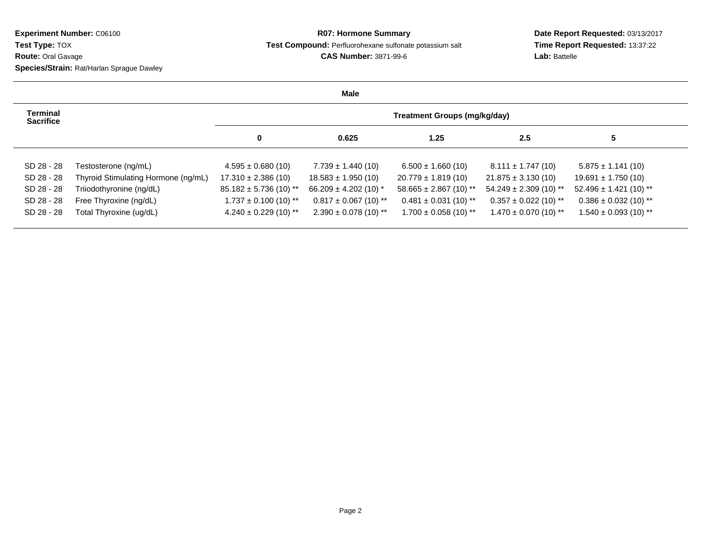## **R07: Hormone Summary Test Compound:** Perfluorohexane sulfonate potassium salt**CAS Number:** 3871-99-6

**Date Report Requested:** 03/13/2017 **Time Report Requested:** 13:37:22**Lab:** Battelle

**Male**

| Terminal<br><b>Sacrifice</b> |                                     |                           |                           | Treatment Groups (mg/kg/day) |                            |                            |
|------------------------------|-------------------------------------|---------------------------|---------------------------|------------------------------|----------------------------|----------------------------|
|                              |                                     | $\mathbf 0$               | 0.625                     | 1.25                         | 2.5                        | 5                          |
| SD 28 - 28                   | Testosterone (ng/mL)                | $4.595 \pm 0.680(10)$     | $7.739 \pm 1.440$ (10)    | $6.500 \pm 1.660(10)$        | $8.111 \pm 1.747(10)$      | $5.875 \pm 1.141$ (10)     |
| SD 28 - 28                   | Thyroid Stimulating Hormone (ng/mL) | $17.310 \pm 2.386(10)$    | $18.583 \pm 1.950(10)$    | $20.779 \pm 1.819(10)$       | $21.875 \pm 3.130(10)$     | $19.691 \pm 1.750(10)$     |
| SD 28 - 28                   | Triiodothyronine (ng/dL)            | $85.182 \pm 5.736(10)$ ** | 66.209 $\pm$ 4.202 (10) * | $58.665 \pm 2.867$ (10) **   | $54.249 \pm 2.309$ (10) ** | $52.496 \pm 1.421$ (10) ** |
| SD 28 - 28                   | Free Thyroxine (ng/dL)              | $1.737 \pm 0.100$ (10) ** | $0.817 \pm 0.067$ (10) ** | $0.481 \pm 0.031$ (10) **    | $0.357 \pm 0.022$ (10) **  | $0.386 \pm 0.032$ (10) **  |
| SD 28 - 28                   | Total Thyroxine (ug/dL)             | $4.240 \pm 0.229$ (10) ** | $2.390 \pm 0.078$ (10) ** | $1.700 \pm 0.058$ (10) **    | $1.470 \pm 0.070$ (10) **  | $1.540 \pm 0.093$ (10) **  |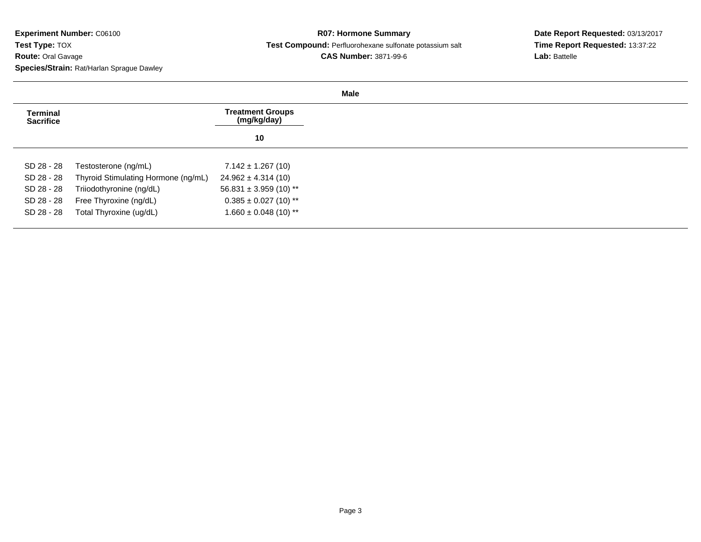## **R07: Hormone Summary Test Compound:** Perfluorohexane sulfonate potassium salt**CAS Number:** 3871-99-6

**Date Report Requested:** 03/13/2017 **Time Report Requested:** 13:37:22**Lab:** Battelle

| <b>Terminal</b><br><b>Sacrifice</b> |                                     | <b>Treatment Groups</b><br>(mg/kg/day) |
|-------------------------------------|-------------------------------------|----------------------------------------|
|                                     |                                     | 10                                     |
| SD 28 - 28                          | Testosterone (ng/mL)                | $7.142 \pm 1.267(10)$                  |
| SD 28 - 28                          | Thyroid Stimulating Hormone (ng/mL) | $24.962 \pm 4.314(10)$                 |
| SD 28 - 28                          | Triiodothyronine (ng/dL)            | $56.831 \pm 3.959$ (10) **             |
| SD 28 - 28                          | Free Thyroxine (ng/dL)              | $0.385 \pm 0.027$ (10) **              |
| SD 28 - 28                          | Total Thyroxine (ug/dL)             | $1.660 \pm 0.048$ (10) **              |